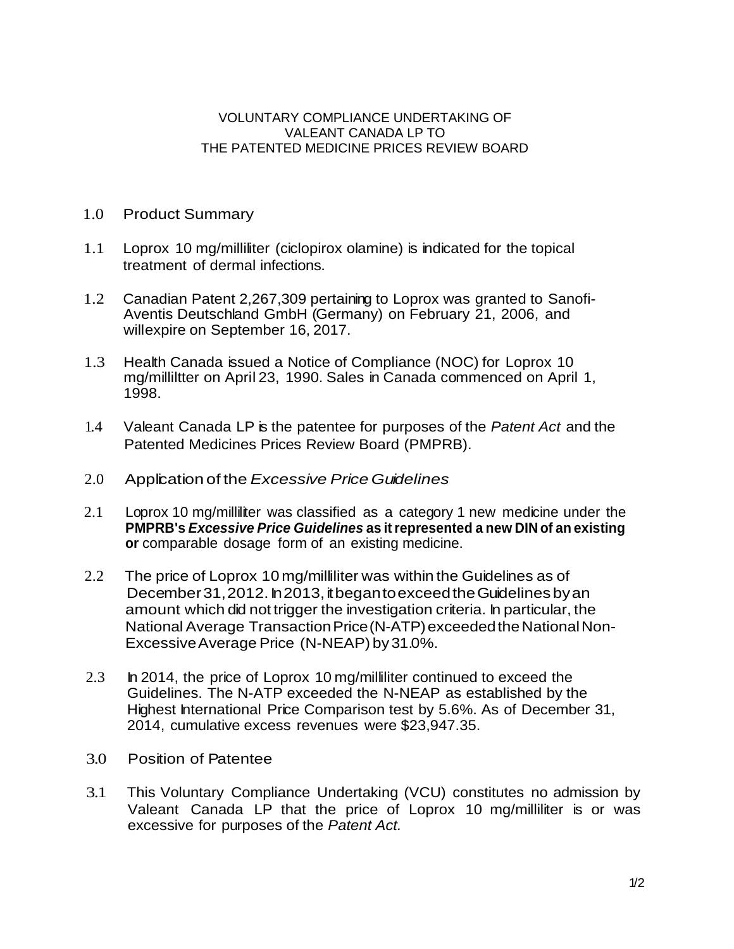## VOLUNTARY COMPLIANCE UNDERTAKING OF VALEANT CANADA LP TO THE PATENTED MEDICINE PRICES REVIEW BOARD

- 1.0 Product Summary
- 1.1 Loprox 10 mg/milliliter (ciclopirox olamine) is indicated for the topical treatment of dermal infections.
- 1.2 Canadian Patent 2,267,309 pertaining to Loprox was granted to Sanofi-Aventis Deutschland GmbH (Germany) on February 21, 2006, and willexpire on September 16, 2017.
- 1.3 Health Canada issued a Notice of Compliance (NOC) for Loprox 10 mg/milliltter on April 23, 1990. Sales in Canada commenced on April 1, 1998.
- 1.4 Valeant Canada LP is the patentee for purposes of the *Patent Act* and the Patented Medicines Prices Review Board (PMPRB).
- 2.0 Application of the *Excessive Price Guidelines*
- 2.1 Loprox 10 mg/milliliter was classified as a category 1 new medicine under the **PMPRB's** *Excessive Price Guidelines* **as itrepresented a new DIN of an existing or** comparable dosage form of an existing medicine.
- 2.2 The price of Loprox 10 mg/milliliter was within the Guidelines as of December 31, 2012. In 2013, it began to exceed the Guidelines by an amount which did not trigger the investigation criteria. In particular, the National Average Transaction Price (N-ATP) exceeded the National Non-ExcessiveAverage Price (N-NEAP) by31.0%.
- 2.3 In 2014, the price of Loprox 10 mg/milliliter continued to exceed the Guidelines. The N-ATP exceeded the N-NEAP as established by the Highest International Price Comparison test by 5.6%. As of December 31, 2014, cumulative excess revenues were \$23,947.35.
- 3.0 Position of Patentee
- 3.1 This Voluntary Compliance Undertaking (VCU) constitutes no admission by Valeant Canada LP that the price of Loprox 10 mg/milliliter is or was excessive for purposes of the *Patent Act.*